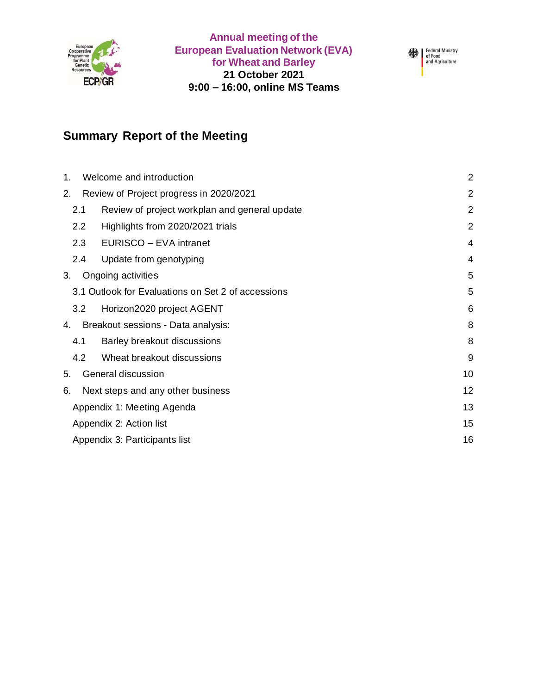

**Annual meeting of the European Evaluation Network (EVA) for Wheat and Barley 21 October 2021 9:00 – 16:00, online MS Teams**



# **Summary Report of the Meeting**

| Welcome and introduction<br>$\mathbf 1$ .            |                             |                |  |
|------------------------------------------------------|-----------------------------|----------------|--|
| Review of Project progress in 2020/2021<br>2.        |                             |                |  |
| 2.1<br>Review of project workplan and general update |                             | $\overline{2}$ |  |
| Highlights from 2020/2021 trials<br>2.2              |                             | $\overline{2}$ |  |
| 2.3                                                  | EURISCO - EVA intranet      | 4              |  |
| 2.4                                                  | Update from genotyping      | $\overline{4}$ |  |
| 3.<br>Ongoing activities                             |                             |                |  |
| 3.1 Outlook for Evaluations on Set 2 of accessions   |                             |                |  |
| 3.2                                                  | Horizon2020 project AGENT   | 6              |  |
| Breakout sessions - Data analysis:<br>4.             | 8                           |                |  |
| 4.1                                                  | Barley breakout discussions | 8              |  |
| 4.2                                                  | Wheat breakout discussions  | 9              |  |
| General discussion<br>5.                             |                             |                |  |
| Next steps and any other business<br>6.              |                             |                |  |
| Appendix 1: Meeting Agenda                           |                             |                |  |
| Appendix 2: Action list                              |                             |                |  |
| Appendix 3: Participants list                        |                             |                |  |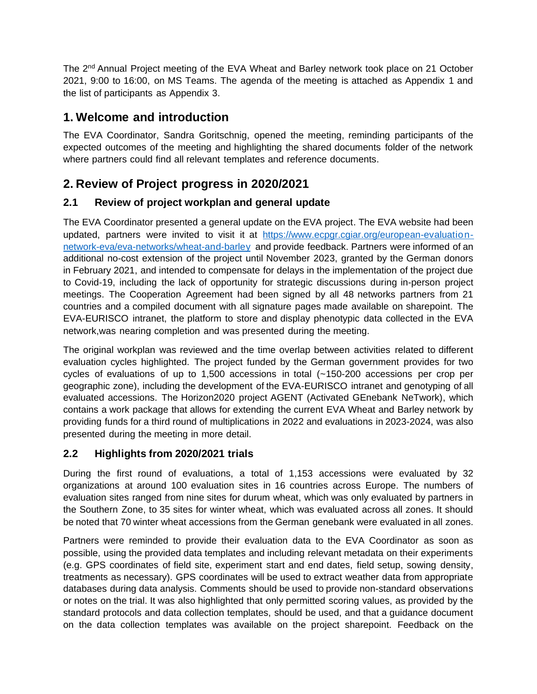The 2<sup>nd</sup> Annual Project meeting of the EVA Wheat and Barley network took place on 21 October 2021, 9:00 to 16:00, on MS Teams. The agenda of the meeting is attached as Appendix 1 and the list of participants as Appendix 3.

## <span id="page-1-0"></span>**1. Welcome and introduction**

The EVA Coordinator, Sandra Goritschnig, opened the meeting, reminding participants of the expected outcomes of the meeting and highlighting the shared documents folder of the network where partners could find all relevant templates and reference documents.

# <span id="page-1-1"></span>**2. Review of Project progress in 2020/2021**

#### <span id="page-1-2"></span>**2.1 Review of project workplan and general update**

The EVA Coordinator presented a general update on the EVA project. The EVA website had been updated, partners were invited to visit it at [https://www.ecpgr.cgiar.org/european-evaluation](https://www.ecpgr.cgiar.org/european-evaluation-network-eva/eva-networks/wheat-and-barley)[network-eva/eva-networks/wheat-and-barley](https://www.ecpgr.cgiar.org/european-evaluation-network-eva/eva-networks/wheat-and-barley) and provide feedback. Partners were informed of an additional no-cost extension of the project until November 2023, granted by the German donors in February 2021, and intended to compensate for delays in the implementation of the project due to Covid-19, including the lack of opportunity for strategic discussions during in-person project meetings. The Cooperation Agreement had been signed by all 48 networks partners from 21 countries and a compiled document with all signature pages made available on sharepoint. The EVA-EURISCO intranet, the platform to store and display phenotypic data collected in the EVA network,was nearing completion and was presented during the meeting.

The original workplan was reviewed and the time overlap between activities related to different evaluation cycles highlighted. The project funded by the German government provides for two cycles of evaluations of up to 1,500 accessions in total (~150-200 accessions per crop per geographic zone), including the development of the EVA-EURISCO intranet and genotyping of all evaluated accessions. The Horizon2020 project AGENT (Activated GEnebank NeTwork), which contains a work package that allows for extending the current EVA Wheat and Barley network by providing funds for a third round of multiplications in 2022 and evaluations in 2023-2024, was also presented during the meeting in more detail.

#### <span id="page-1-3"></span>**2.2 Highlights from 2020/2021 trials**

During the first round of evaluations, a total of 1,153 accessions were evaluated by 32 organizations at around 100 evaluation sites in 16 countries across Europe. The numbers of evaluation sites ranged from nine sites for durum wheat, which was only evaluated by partners in the Southern Zone, to 35 sites for winter wheat, which was evaluated across all zones. It should be noted that 70 winter wheat accessions from the German genebank were evaluated in all zones.

Partners were reminded to provide their evaluation data to the EVA Coordinator as soon as possible, using the provided data templates and including relevant metadata on their experiments (e.g. GPS coordinates of field site, experiment start and end dates, field setup, sowing density, treatments as necessary). GPS coordinates will be used to extract weather data from appropriate databases during data analysis. Comments should be used to provide non-standard observations or notes on the trial. It was also highlighted that only permitted scoring values, as provided by the standard protocols and data collection templates, should be used, and that a guidance document on the data collection templates was available on the project sharepoint. Feedback on the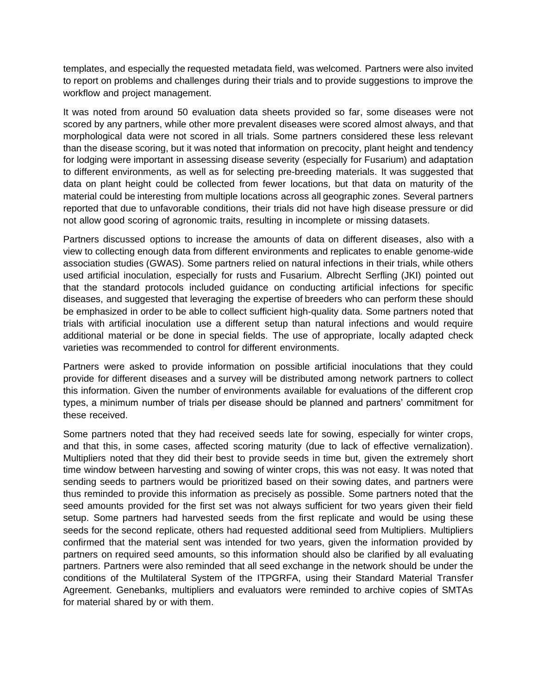templates, and especially the requested metadata field, was welcomed. Partners were also invited to report on problems and challenges during their trials and to provide suggestions to improve the workflow and project management.

It was noted from around 50 evaluation data sheets provided so far, some diseases were not scored by any partners, while other more prevalent diseases were scored almost always, and that morphological data were not scored in all trials. Some partners considered these less relevant than the disease scoring, but it was noted that information on precocity, plant height and tendency for lodging were important in assessing disease severity (especially for *Fusarium*) and adaptation to different environments, as well as for selecting pre-breeding materials. It was suggested that data on plant height could be collected from fewer locations, but that data on maturity of the material could be interesting from multiple locations across all geographic zones. Several partners reported that due to unfavorable conditions, their trials did not have high disease pressure or did not allow good scoring of agronomic traits, resulting in incomplete or missing datasets.

Partners discussed options to increase the amounts of data on different diseases, also with a view to collecting enough data from different environments and replicates to enable genome-wide association studies (GWAS). Some partners relied on natural infections in their trials, while others used artificial inoculation, especially for rusts and *Fusarium*. Albrecht Serfling (JKI) pointed out that the standard protocols included guidance on conducting artificial infections for specific diseases, and suggested that leveraging the expertise of breeders who can perform these should be emphasized in order to be able to collect sufficient high-quality data. Some partners noted that trials with artificial inoculation use a different setup than natural infections and would require additional material or be done in special fields. The use of appropriate, locally adapted check varieties was recommended to control for different environments.

Partners were asked to provide information on possible artificial inoculations that they could provide for different diseases and a survey will be distributed among network partners to collect this information. Given the number of environments available for evaluations of the different crop types, a minimum number of trials per disease should be planned and partners' commitment for these received.

Some partners noted that they had received seeds late for sowing, especially for winter crops, and that this, in some cases, affected scoring maturity (due to lack of effective vernalization). Multipliers noted that they did their best to provide seeds in time but, given the extremely short time window between harvesting and sowing of winter crops, this was not easy. It was noted that sending seeds to partners would be prioritized based on their sowing dates, and partners were thus reminded to provide this information as precisely as possible. Some partners noted that the seed amounts provided for the first set was not always sufficient for two years given their field setup. Some partners had harvested seeds from the first replicate and would be using these seeds for the second replicate, others had requested additional seed from Multipliers. Multipliers confirmed that the material sent was intended for two years, given the information provided by partners on required seed amounts, so this information should also be clarified by all evaluating partners. Partners were also reminded that all seed exchange in the network should be under the conditions of the Multilateral System of the ITPGRFA, using their Standard Material Transfer Agreement. Genebanks, multipliers and evaluators were reminded to archive copies of SMTAs for material shared by or with them.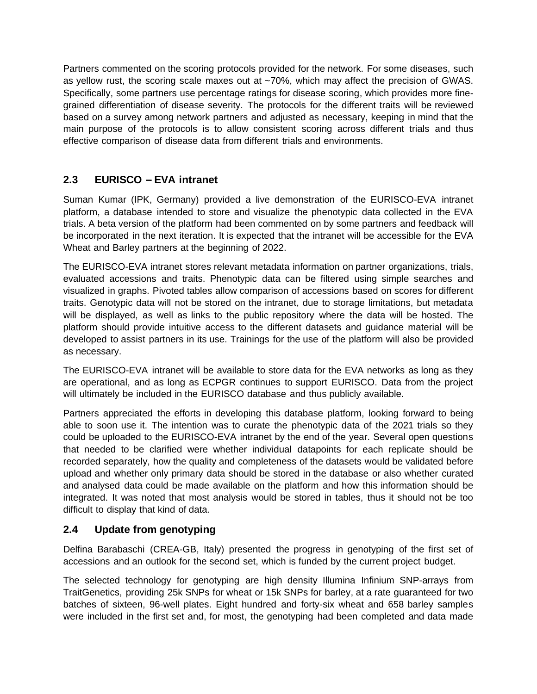Partners commented on the scoring protocols provided for the network. For some diseases, such as yellow rust, the scoring scale maxes out at ~70%, which may affect the precision of GWAS. Specifically, some partners use percentage ratings for disease scoring, which provides more finegrained differentiation of disease severity. The protocols for the different traits will be reviewed based on a survey among network partners and adjusted as necessary, keeping in mind that the main purpose of the protocols is to allow consistent scoring across different trials and thus effective comparison of disease data from different trials and environments.

#### <span id="page-3-0"></span>**2.3 EURISCO – EVA intranet**

Suman Kumar (IPK, Germany) provided a live demonstration of the EURISCO-EVA intranet platform, a database intended to store and visualize the phenotypic data collected in the EVA trials. A beta version of the platform had been commented on by some partners and feedback will be incorporated in the next iteration. It is expected that the intranet will be accessible for the EVA Wheat and Barley partners at the beginning of 2022.

The EURISCO-EVA intranet stores relevant metadata information on partner organizations, trials, evaluated accessions and traits. Phenotypic data can be filtered using simple searches and visualized in graphs. Pivoted tables allow comparison of accessions based on scores for different traits. Genotypic data will not be stored on the intranet, due to storage limitations, but metadata will be displayed, as well as links to the public repository where the data will be hosted. The platform should provide intuitive access to the different datasets and guidance material will be developed to assist partners in its use. Trainings for the use of the platform will also be provided as necessary.

The EURISCO-EVA intranet will be available to store data for the EVA networks as long as they are operational, and as long as ECPGR continues to support EURISCO. Data from the project will ultimately be included in the EURISCO database and thus publicly available.

Partners appreciated the efforts in developing this database platform, looking forward to being able to soon use it. The intention was to curate the phenotypic data of the 2021 trials so they could be uploaded to the EURISCO-EVA intranet by the end of the year. Several open questions that needed to be clarified were whether individual datapoints for each replicate should be recorded separately, how the quality and completeness of the datasets would be validated before upload and whether only primary data should be stored in the database or also whether curated and analysed data could be made available on the platform and how this information should be integrated. It was noted that most analysis would be stored in tables, thus it should not be too difficult to display that kind of data.

#### <span id="page-3-1"></span>**2.4 Update from genotyping**

Delfina Barabaschi (CREA-GB, Italy) presented the progress in genotyping of the first set of accessions and an outlook for the second set, which is funded by the current project budget.

The selected technology for genotyping are high density Illumina Infinium SNP-arrays from TraitGenetics, providing 25k SNPs for wheat or 15k SNPs for barley, at a rate guaranteed for two batches of sixteen, 96-well plates. Eight hundred and forty-six wheat and 658 barley samples were included in the first set and, for most, the genotyping had been completed and data made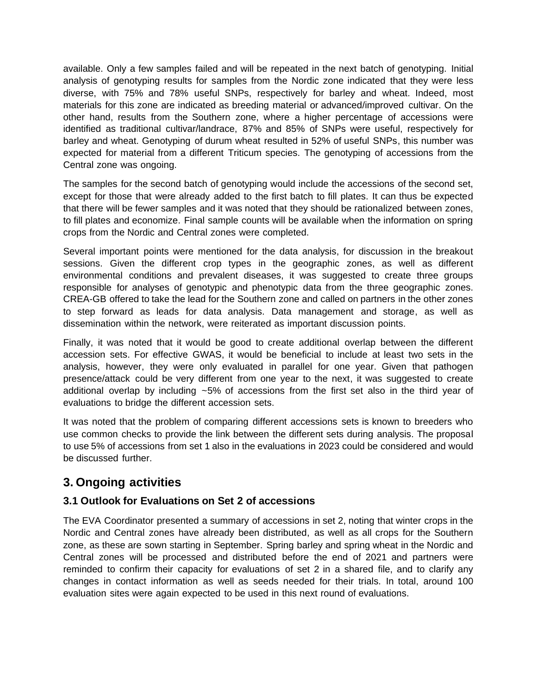available. Only a few samples failed and will be repeated in the next batch of genotyping. Initial analysis of genotyping results for samples from the Nordic zone indicated that they were less diverse, with 75% and 78% useful SNPs, respectively for barley and wheat. Indeed, most materials for this zone are indicated as breeding material or advanced/improved cultivar. On the other hand, results from the Southern zone, where a higher percentage of accessions were identified as traditional cultivar/landrace, 87% and 85% of SNPs were useful, respectively for barley and wheat. Genotyping of durum wheat resulted in 52% of useful SNPs, this number was expected for material from a different *Triticum* species. The genotyping of accessions from the Central zone was ongoing.

The samples for the second batch of genotyping would include the accessions of the second set, except for those that were already added to the first batch to fill plates. It can thus be expected that there will be fewer samples and it was noted that they should be rationalized between zones, to fill plates and economize. Final sample counts will be available when the information on spring crops from the Nordic and Central zones were completed.

Several important points were mentioned for the data analysis, for discussion in the breakout sessions. Given the different crop types in the geographic zones, as well as different environmental conditions and prevalent diseases, it was suggested to create three groups responsible for analyses of genotypic and phenotypic data from the three geographic zones. CREA-GB offered to take the lead for the Southern zone and called on partners in the other zones to step forward as leads for data analysis. Data management and storage, as well as dissemination within the network, were reiterated as important discussion points.

Finally, it was noted that it would be good to create additional overlap between the different accession sets. For effective GWAS, it would be beneficial to include at least two sets in the analysis, however, they were only evaluated in parallel for one year. Given that pathogen presence/attack could be very different from one year to the next, it was suggested to create additional overlap by including  $~5\%$  of accessions from the first set also in the third year of evaluations to bridge the different accession sets.

It was noted that the problem of comparing different accessions sets is known to breeders who use common checks to provide the link between the different sets during analysis. The proposal to use 5% of accessions from set 1 also in the evaluations in 2023 could be considered and would be discussed further.

## <span id="page-4-0"></span>**3. Ongoing activities**

#### <span id="page-4-1"></span>**3.1 Outlook for Evaluations on Set 2 of accessions**

The EVA Coordinator presented a summary of accessions in set 2, noting that winter crops in the Nordic and Central zones have already been distributed, as well as all crops for the Southern zone, as these are sown starting in September. Spring barley and spring wheat in the Nordic and Central zones will be processed and distributed before the end of 2021 and partners were reminded to confirm their capacity for evaluations of set 2 in a shared file, and to clarify any changes in contact information as well as seeds needed for their trials. In total, around 100 evaluation sites were again expected to be used in this next round of evaluations.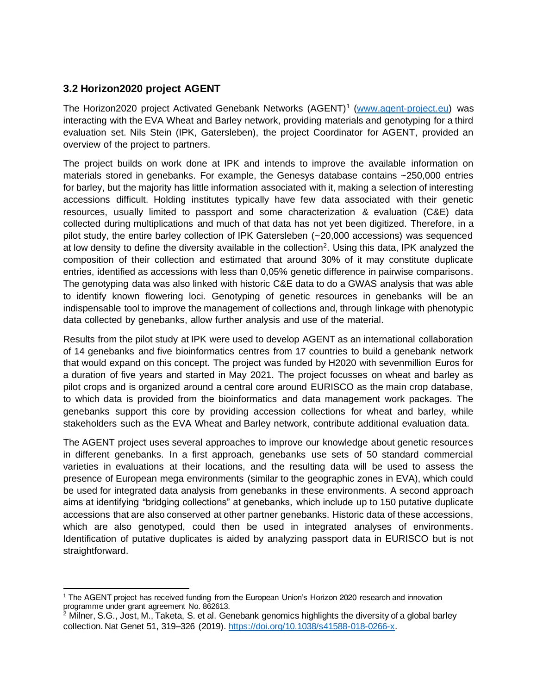#### <span id="page-5-0"></span>**3.2 Horizon2020 project AGENT**

The Horizon2020 project Activated Genebank Networks (AGENT)<sup>1</sup> [\(www.agent-project.eu\)](http://www.agent-project.eu/) was interacting with the EVA Wheat and Barley network, providing materials and genotyping for a third evaluation set. Nils Stein (IPK, Gatersleben), the project Coordinator for AGENT, provided an overview of the project to partners.

The project builds on work done at IPK and intends to improve the available information on materials stored in genebanks. For example, the Genesys database contains ~250,000 entries for barley, but the majority has little information associated with it, making a selection of interesting accessions difficult. Holding institutes typically have few data associated with their genetic resources, usually limited to passport and some characterization & evaluation (C&E) data collected during multiplications and much of that data has not yet been digitized. Therefore, in a pilot study, the entire barley collection of IPK Gatersleben (~20,000 accessions) was sequenced at low density to define the diversity available in the collection<sup>2</sup>. Using this data, IPK analyzed the composition of their collection and estimated that around 30% of it may constitute duplicate entries, identified as accessions with less than 0,05% genetic difference in pairwise comparisons. The genotyping data was also linked with historic C&E data to do a GWAS analysis that was able to identify known flowering loci. Genotyping of genetic resources in genebanks will be an indispensable tool to improve the management of collections and, through linkage with phenotypic data collected by genebanks, allow further analysis and use of the material.

Results from the pilot study at IPK were used to develop AGENT as an international collaboration of 14 genebanks and five bioinformatics centres from 17 countries to build a genebank network that would expand on this concept. The project was funded by H2020 with sevenmillion Euros for a duration of five years and started in May 2021. The project focusses on wheat and barley as pilot crops and is organized around a central core around EURISCO as the main crop database, to which data is provided from the bioinformatics and data management work packages. The genebanks support this core by providing accession collections for wheat and barley, while stakeholders such as the EVA Wheat and Barley network, contribute additional evaluation data.

The AGENT project uses several approaches to improve our knowledge about genetic resources in different genebanks. In a first approach, genebanks use sets of 50 standard commercial varieties in evaluations at their locations, and the resulting data will be used to assess the presence of European mega environments (similar to the geographic zones in EVA), which could be used for integrated data analysis from genebanks in these environments. A second approach aims at identifying "bridging collections" at genebanks, which include up to 150 putative duplicate accessions that are also conserved at other partner genebanks. Historic data of these accessions, which are also genotyped, could then be used in integrated analyses of environments. Identification of putative duplicates is aided by analyzing passport data in EURISCO but is not straightforward.

<sup>&</sup>lt;sup>1</sup> The AGENT project has received funding from the European Union's Horizon 2020 research and innovation programme under grant agreement No. 862613.

 $^2$  Milner, S.G., Jost, M., Taketa, S. et al. Genebank genomics highlights the diversity of a global barley collection. Nat Genet 51, 319–326 (2019). [https://doi.org/10.1038/s41588-018-0266-x.](https://doi.org/10.1038/s41588-018-0266-x)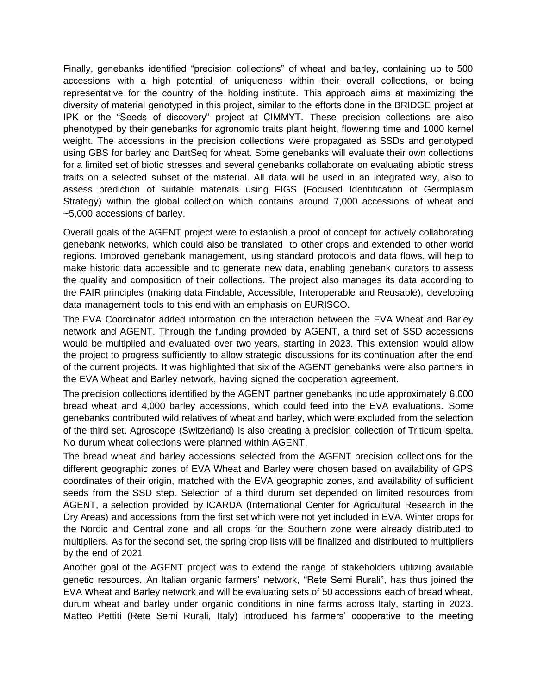Finally, genebanks identified "precision collections" of wheat and barley, containing up to 500 accessions with a high potential of uniqueness within their overall collections, or being representative for the country of the holding institute. This approach aims at maximizing the diversity of material genotyped in this project, similar to the efforts done in the BRIDGE project at IPK or the "Seeds of discovery" project at CIMMYT. These precision collections are also phenotyped by their genebanks for agronomic traits plant height, flowering time and 1000 kernel weight. The accessions in the precision collections were propagated as SSDs and genotyped using GBS for barley and DartSeq for wheat. Some genebanks will evaluate their own collections for a limited set of biotic stresses and several genebanks collaborate on evaluating abiotic stress traits on a selected subset of the material. All data will be used in an integrated way, also to assess prediction of suitable materials using FIGS (Focused Identification of Germplasm Strategy) within the global collection which contains around 7,000 accessions of wheat and ~5,000 accessions of barley.

Overall goals of the AGENT project were to establish a proof of concept for actively collaborating genebank networks, which could also be translated to other crops and extended to other world regions. Improved genebank management, using standard protocols and data flows, will help to make historic data accessible and to generate new data, enabling genebank curators to assess the quality and composition of their collections. The project also manages its data according to the FAIR principles (making data Findable, Accessible, Interoperable and Reusable), developing data management tools to this end with an emphasis on EURISCO.

The EVA Coordinator added information on the interaction between the EVA Wheat and Barley network and AGENT. Through the funding provided by AGENT, a third set of SSD accessions would be multiplied and evaluated over two years, starting in 2023. This extension would allow the project to progress sufficiently to allow strategic discussions for its continuation after the end of the current projects. It was highlighted that six of the AGENT genebanks were also partners in the EVA Wheat and Barley network, having signed the cooperation agreement.

The precision collections identified by the AGENT partner genebanks include approximately 6,000 bread wheat and 4,000 barley accessions, which could feed into the EVA evaluations. Some genebanks contributed wild relatives of wheat and barley, which were excluded from the selection of the third set. Agroscope (Switzerland) is also creating a precision collection of *Triticum spelta*. No durum wheat collections were planned within AGENT.

The bread wheat and barley accessions selected from the AGENT precision collections for the different geographic zones of EVA Wheat and Barley were chosen based on availability of GPS coordinates of their origin, matched with the EVA geographic zones, and availability of sufficient seeds from the SSD step. Selection of a third durum set depended on limited resources from AGENT, a selection provided by ICARDA (International Center for Agricultural Research in the Dry Areas) and accessions from the first set which were not yet included in EVA. Winter crops for the Nordic and Central zone and all crops for the Southern zone were already distributed to multipliers. As for the second set, the spring crop lists will be finalized and distributed to multipliers by the end of 2021.

Another goal of the AGENT project was to extend the range of stakeholders utilizing available genetic resources. An Italian organic farmers' network, "Rete Semi Rurali", has thus joined the EVA Wheat and Barley network and will be evaluating sets of 50 accessions each of bread wheat, durum wheat and barley under organic conditions in nine farms across Italy, starting in 2023. Matteo Pettiti (Rete Semi Rurali, Italy) introduced his farmers' cooperative to the meeting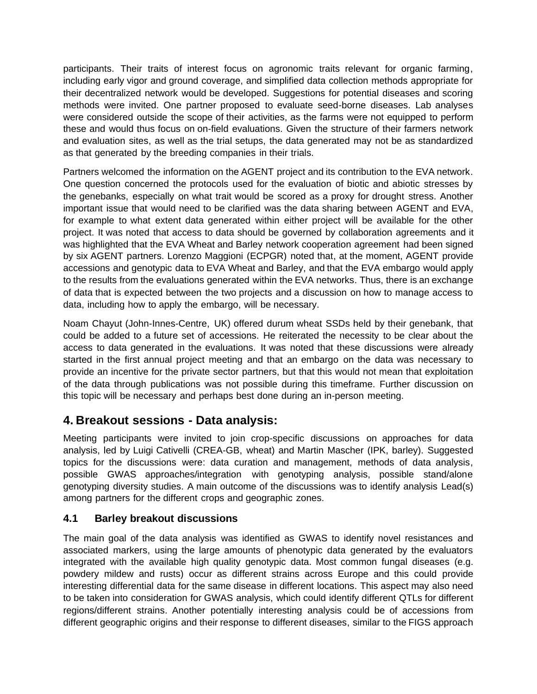participants. Their traits of interest focus on agronomic traits relevant for organic farming, including early vigor and ground coverage, and simplified data collection methods appropriate for their decentralized network would be developed. Suggestions for potential diseases and scoring methods were invited. One partner proposed to evaluate seed-borne diseases. Lab analyses were considered outside the scope of their activities, as the farms were not equipped to perform these and would thus focus on on-field evaluations. Given the structure of their farmers network and evaluation sites, as well as the trial setups, the data generated may not be as standardized as that generated by the breeding companies in their trials.

Partners welcomed the information on the AGENT project and its contribution to the EVA network. One question concerned the protocols used for the evaluation of biotic and abiotic stresses by the genebanks, especially on what trait would be scored as a proxy for drought stress. Another important issue that would need to be clarified was the data sharing between AGENT and EVA, for example to what extent data generated within either project will be available for the other project. It was noted that access to data should be governed by collaboration agreements and it was highlighted that the EVA Wheat and Barley network cooperation agreement had been signed by six AGENT partners. Lorenzo Maggioni (ECPGR) noted that, at the moment, AGENT provide accessions and genotypic data to EVA Wheat and Barley, and that the EVA embargo would apply to the results from the evaluations generated within the EVA networks. Thus, there is an exchange of data that is expected between the two projects and a discussion on how to manage access to data, including how to apply the embargo, will be necessary.

Noam Chayut (John-Innes-Centre, UK) offered durum wheat SSDs held by their genebank, that could be added to a future set of accessions. He reiterated the necessity to be clear about the access to data generated in the evaluations. It was noted that these discussions were already started in the first annual project meeting and that an embargo on the data was necessary to provide an incentive for the private sector partners, but that this would not mean that exploitation of the data through publications was not possible during this timeframe. Further discussion on this topic will be necessary and perhaps best done during an in-person meeting.

#### <span id="page-7-0"></span>**4. Breakout sessions - Data analysis:**

Meeting participants were invited to join crop-specific discussions on approaches for data analysis, led by Luigi Cativelli (CREA-GB, wheat) and Martin Mascher (IPK, barley). Suggested topics for the discussions were: data curation and management, methods of data analysis, possible GWAS approaches/integration with genotyping analysis, possible stand/alone genotyping diversity studies. A main outcome of the discussions was to identify analysis Lead(s) among partners for the different crops and geographic zones.

#### <span id="page-7-1"></span>**4.1 Barley breakout discussions**

The main goal of the data analysis was identified as GWAS to identify novel resistances and associated markers, using the large amounts of phenotypic data generated by the evaluators integrated with the available high quality genotypic data. Most common fungal diseases (e.g. powdery mildew and rusts) occur as different strains across Europe and this could provide interesting differential data for the same disease in different locations. This aspect may also need to be taken into consideration for GWAS analysis, which could identify different QTLs for different regions/different strains. Another potentially interesting analysis could be of accessions from different geographic origins and their response to different diseases, similar to the FIGS approach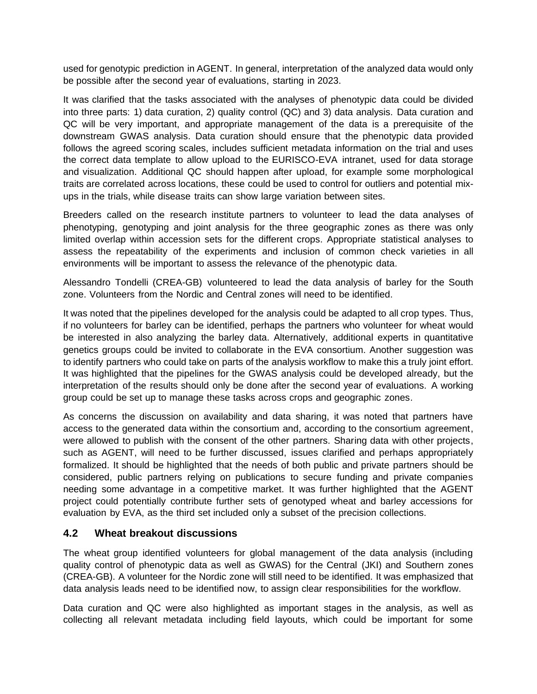used for genotypic prediction in AGENT. In general, interpretation of the analyzed data would only be possible after the second year of evaluations, starting in 2023.

It was clarified that the tasks associated with the analyses of phenotypic data could be divided into three parts: 1) data curation, 2) quality control (QC) and 3) data analysis. Data curation and QC will be very important, and appropriate management of the data is a prerequisite of the downstream GWAS analysis. Data curation should ensure that the phenotypic data provided follows the agreed scoring scales, includes sufficient metadata information on the trial and uses the correct data template to allow upload to the EURISCO-EVA intranet, used for data storage and visualization. Additional QC should happen after upload, for example some morphological traits are correlated across locations, these could be used to control for outliers and potential mixups in the trials, while disease traits can show large variation between sites.

Breeders called on the research institute partners to volunteer to lead the data analyses of phenotyping, genotyping and joint analysis for the three geographic zones as there was only limited overlap within accession sets for the different crops. Appropriate statistical analyses to assess the repeatability of the experiments and inclusion of common check varieties in all environments will be important to assess the relevance of the phenotypic data.

Alessandro Tondelli (CREA-GB) volunteered to lead the data analysis of barley for the South zone. Volunteers from the Nordic and Central zones will need to be identified.

It was noted that the pipelines developed for the analysis could be adapted to all crop types. Thus, if no volunteers for barley can be identified, perhaps the partners who volunteer for wheat would be interested in also analyzing the barley data. Alternatively, additional experts in quantitative genetics groups could be invited to collaborate in the EVA consortium. Another suggestion was to identify partners who could take on parts of the analysis workflow to make this a truly joint effort. It was highlighted that the pipelines for the GWAS analysis could be developed already, but the interpretation of the results should only be done after the second year of evaluations. A working group could be set up to manage these tasks across crops and geographic zones.

As concerns the discussion on availability and data sharing, it was noted that partners have access to the generated data within the consortium and, according to the consortium agreement, were allowed to publish with the consent of the other partners. Sharing data with other projects, such as AGENT, will need to be further discussed, issues clarified and perhaps appropriately formalized. It should be highlighted that the needs of both public and private partners should be considered, public partners relying on publications to secure funding and private companies needing some advantage in a competitive market. It was further highlighted that the AGENT project could potentially contribute further sets of genotyped wheat and barley accessions for evaluation by EVA, as the third set included only a subset of the precision collections.

#### <span id="page-8-0"></span>**4.2 Wheat breakout discussions**

The wheat group identified volunteers for global management of the data analysis (including quality control of phenotypic data as well as GWAS) for the Central (JKI) and Southern zones (CREA-GB). A volunteer for the Nordic zone will still need to be identified. It was emphasized that data analysis leads need to be identified now, to assign clear responsibilities for the workflow.

Data curation and QC were also highlighted as important stages in the analysis, as well as collecting all relevant metadata including field layouts, which could be important for some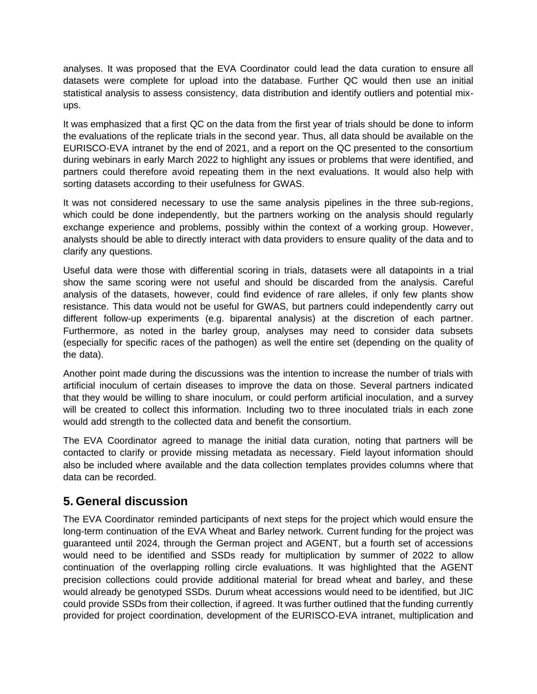analyses. It was proposed that the EVA Coordinator could lead the data curation to ensure all datasets were complete for upload into the database. Further QC would then use an initial statistical analysis to assess consistency, data distribution and identify outliers and potential mixups.

It was emphasized that a first QC on the data from the first year of trials should be done to inform the evaluations of the replicate trials in the second year. Thus, all data should be available on the EURISCO-EVA intranet by the end of 2021, and a report on the QC presented to the consortium during webinars in early March 2022 to highlight any issues or problems that were identified, and partners could therefore avoid repeating them in the next evaluations. It would also help with sorting datasets according to their usefulness for GWAS.

It was not considered necessary to use the same analysis pipelines in the three sub-regions, which could be done independently, but the partners working on the analysis should regularly exchange experience and problems, possibly within the context of a working group. However, analysts should be able to directly interact with data providers to ensure quality of the data and to clarify any questions.

Useful data were those with differential scoring in trials, datasets were all datapoints in a trial show the same scoring were not useful and should be discarded from the analysis. Careful analysis of the datasets, however, could find evidence of rare alleles, if only few plants show resistance. This data would not be useful for GWAS, but partners could independently carry out different follow-up experiments (e.g. biparental analysis) at the discretion of each partner. Furthermore, as noted in the barley group, analyses may need to consider data subsets (especially for specific races of the pathogen) as well the entire set (depending on the quality of the data).

Another point made during the discussions was the intention to increase the number of trials with artificial inoculum of certain diseases to improve the data on those. Several partners indicated that they would be willing to share inoculum, or could perform artificial inoculation, and a survey will be created to collect this information. Including two to three inoculated trials in each zone would add strength to the collected data and benefit the consortium.

The EVA Coordinator agreed to manage the initial data curation, noting that partners will be contacted to clarify or provide missing metadata as necessary. Field layout information should also be included where available and the data collection templates provides columns where that data can be recorded.

#### <span id="page-9-0"></span>**5. General discussion**

The EVA Coordinator reminded participants of next steps for the project which would ensure the long-term continuation of the EVA Wheat and Barley network. Current funding for the project was guaranteed until 2024, through the German project and AGENT, but a fourth set of accessions would need to be identified and SSDs ready for multiplication by summer of 2022 to allow continuation of the overlapping rolling circle evaluations. It was highlighted that the AGENT precision collections could provide additional material for bread wheat and barley, and these would already be genotyped SSDs. Durum wheat accessions would need to be identified, but JIC could provide SSDs from their collection, if agreed. It was further outlined that the funding currently provided for project coordination, development of the EURISCO-EVA intranet, multiplication and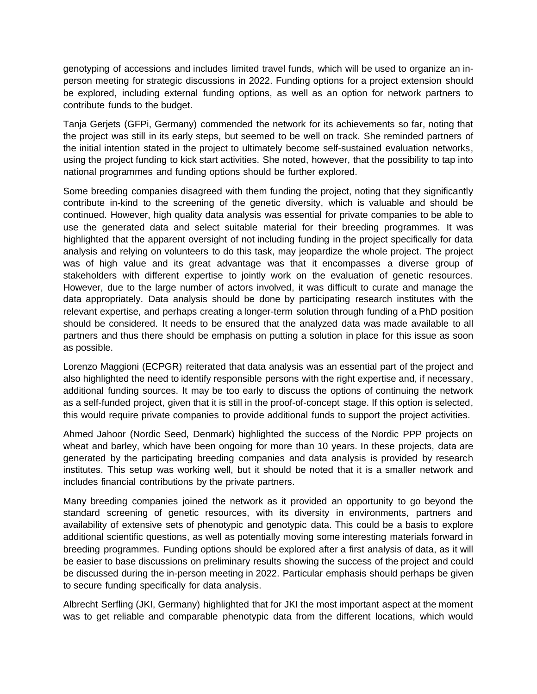genotyping of accessions and includes limited travel funds, which will be used to organize an inperson meeting for strategic discussions in 2022. Funding options for a project extension should be explored, including external funding options, as well as an option for network partners to contribute funds to the budget.

Tanja Gerjets (GFPi, Germany) commended the network for its achievements so far, noting that the project was still in its early steps, but seemed to be well on track. She reminded partners of the initial intention stated in the project to ultimately become self-sustained evaluation networks, using the project funding to kick start activities. She noted, however, that the possibility to tap into national programmes and funding options should be further explored.

Some breeding companies disagreed with them funding the project, noting that they significantly contribute in-kind to the screening of the genetic diversity, which is valuable and should be continued. However, high quality data analysis was essential for private companies to be able to use the generated data and select suitable material for their breeding programmes. It was highlighted that the apparent oversight of not including funding in the project specifically for data analysis and relying on volunteers to do this task, may jeopardize the whole project. The project was of high value and its great advantage was that it encompasses a diverse group of stakeholders with different expertise to jointly work on the evaluation of genetic resources. However, due to the large number of actors involved, it was difficult to curate and manage the data appropriately. Data analysis should be done by participating research institutes with the relevant expertise, and perhaps creating a longer-term solution through funding of a PhD position should be considered. It needs to be ensured that the analyzed data was made available to all partners and thus there should be emphasis on putting a solution in place for this issue as soon as possible.

Lorenzo Maggioni (ECPGR) reiterated that data analysis was an essential part of the project and also highlighted the need to identify responsible persons with the right expertise and, if necessary, additional funding sources. It may be too early to discuss the options of continuing the network as a self-funded project, given that it is still in the proof-of-concept stage. If this option is selected, this would require private companies to provide additional funds to support the project activities.

Ahmed Jahoor (Nordic Seed, Denmark) highlighted the success of the Nordic PPP projects on wheat and barley, which have been ongoing for more than 10 years. In these projects, data are generated by the participating breeding companies and data analysis is provided by research institutes. This setup was working well, but it should be noted that it is a smaller network and includes financial contributions by the private partners.

Many breeding companies joined the network as it provided an opportunity to go beyond the standard screening of genetic resources, with its diversity in environments, partners and availability of extensive sets of phenotypic and genotypic data. This could be a basis to explore additional scientific questions, as well as potentially moving some interesting materials forward in breeding programmes. Funding options should be explored after a first analysis of data, as it will be easier to base discussions on preliminary results showing the success of the project and could be discussed during the in-person meeting in 2022. Particular emphasis should perhaps be given to secure funding specifically for data analysis.

Albrecht Serfling (JKI, Germany) highlighted that for JKI the most important aspect at the moment was to get reliable and comparable phenotypic data from the different locations, which would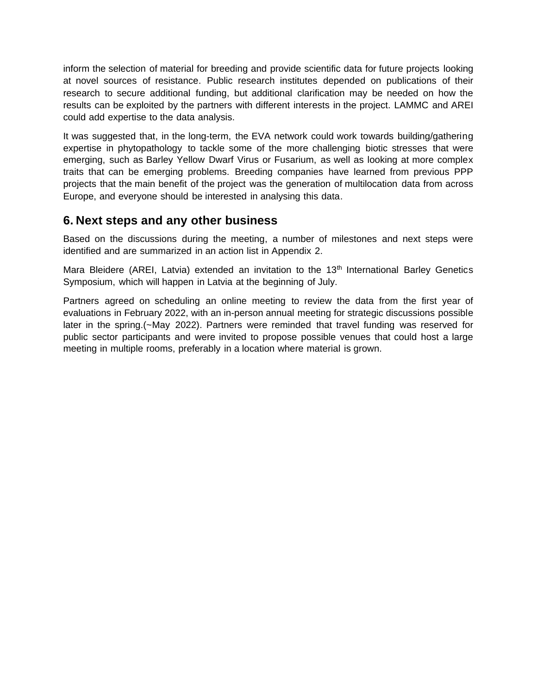inform the selection of material for breeding and provide scientific data for future projects looking at novel sources of resistance. Public research institutes depended on publications of their research to secure additional funding, but additional clarification may be needed on how the results can be exploited by the partners with different interests in the project. LAMMC and AREI could add expertise to the data analysis.

It was suggested that, in the long-term, the EVA network could work towards building/gathering expertise in phytopathology to tackle some of the more challenging biotic stresses that were emerging, such as Barley Yellow Dwarf Virus or *Fusarium*, as well as looking at more complex traits that can be emerging problems. Breeding companies have learned from previous PPP projects that the main benefit of the project was the generation of multilocation data from across Europe, and everyone should be interested in analysing this data.

#### <span id="page-11-0"></span>**6. Next steps and any other business**

Based on the discussions during the meeting, a number of milestones and next steps were identified and are summarized in an action list in Appendix 2.

Mara Bleidere (AREI, Latvia) extended an invitation to the 13<sup>th</sup> International Barley Genetics Symposium, which will happen in Latvia at the beginning of July.

Partners agreed on scheduling an online meeting to review the data from the first year of evaluations in February 2022, with an in-person annual meeting for strategic discussions possible later in the spring.(~May 2022). Partners were reminded that travel funding was reserved for public sector participants and were invited to propose possible venues that could host a large meeting in multiple rooms, preferably in a location where material is grown.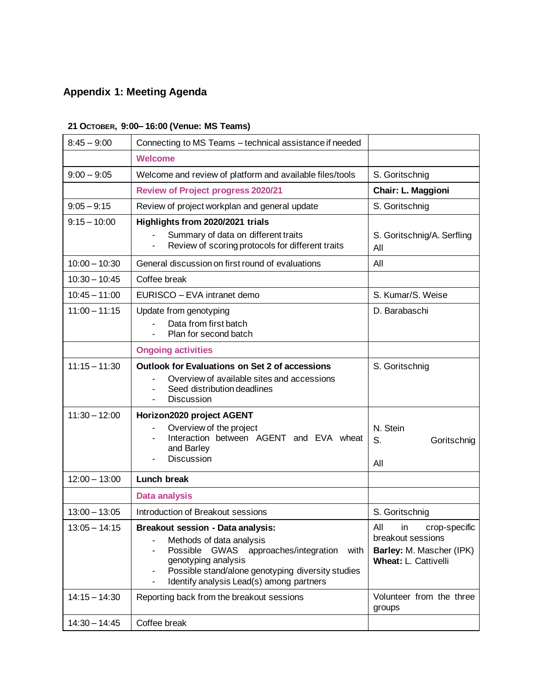# <span id="page-12-0"></span>**Appendix 1: Meeting Agenda**

| $8:45 - 9:00$<br>Connecting to MS Teams - technical assistance if needed |                                                                                                                                                                                                                                                                        |                                                                                                            |  |
|--------------------------------------------------------------------------|------------------------------------------------------------------------------------------------------------------------------------------------------------------------------------------------------------------------------------------------------------------------|------------------------------------------------------------------------------------------------------------|--|
|                                                                          | <b>Welcome</b>                                                                                                                                                                                                                                                         |                                                                                                            |  |
| $9:00 - 9:05$                                                            | Welcome and review of platform and available files/tools                                                                                                                                                                                                               | S. Goritschnig                                                                                             |  |
|                                                                          | <b>Review of Project progress 2020/21</b>                                                                                                                                                                                                                              | Chair: L. Maggioni                                                                                         |  |
| $9:05 - 9:15$                                                            | Review of project workplan and general update                                                                                                                                                                                                                          | S. Goritschnig                                                                                             |  |
| $9:15 - 10:00$                                                           | Highlights from 2020/2021 trials<br>Summary of data on different traits<br>Review of scoring protocols for different traits                                                                                                                                            | S. Goritschnig/A. Serfling<br>All                                                                          |  |
| $10:00 - 10:30$                                                          | General discussion on first round of evaluations                                                                                                                                                                                                                       | All                                                                                                        |  |
| $10:30 - 10:45$                                                          | Coffee break                                                                                                                                                                                                                                                           |                                                                                                            |  |
| $10:45 - 11:00$                                                          | EURISCO - EVA intranet demo                                                                                                                                                                                                                                            | S. Kumar/S. Weise                                                                                          |  |
| $11:00 - 11:15$                                                          | Update from genotyping<br>Data from first batch<br>Plan for second batch                                                                                                                                                                                               | D. Barabaschi                                                                                              |  |
|                                                                          | <b>Ongoing activities</b>                                                                                                                                                                                                                                              |                                                                                                            |  |
| $11:15 - 11:30$                                                          | <b>Outlook for Evaluations on Set 2 of accessions</b><br>Overview of available sites and accessions<br>Seed distribution deadlines<br><b>Discussion</b>                                                                                                                | S. Goritschnig                                                                                             |  |
| $11:30 - 12:00$                                                          | Horizon2020 project AGENT<br>Overview of the project<br>Interaction between AGENT and EVA wheat<br>and Barley<br><b>Discussion</b>                                                                                                                                     | N. Stein<br>S.<br>Goritschnig<br>All                                                                       |  |
| $12:00 - 13:00$                                                          | Lunch break                                                                                                                                                                                                                                                            |                                                                                                            |  |
|                                                                          | <b>Data analysis</b>                                                                                                                                                                                                                                                   |                                                                                                            |  |
| $13:00 - 13:05$                                                          | Introduction of Breakout sessions                                                                                                                                                                                                                                      | S. Goritschnig                                                                                             |  |
| $13:05 - 14:15$                                                          | <b>Breakout session - Data analysis:</b><br>Methods of data analysis<br>Possible GWAS<br>approaches/integration<br>with<br>genotyping analysis<br>Possible stand/alone genotyping diversity studies<br>-<br>Identify analysis Lead(s) among partners<br>$\blacksquare$ | All<br>crop-specific<br>in<br>breakout sessions<br>Barley: M. Mascher (IPK)<br><b>Wheat: L. Cattivelli</b> |  |
| $14:15 - 14:30$                                                          | Reporting back from the breakout sessions                                                                                                                                                                                                                              | Volunteer from the three<br>groups                                                                         |  |
| $14:30 - 14:45$                                                          | Coffee break                                                                                                                                                                                                                                                           |                                                                                                            |  |

#### **21 OCTOBER, 9:00– 16:00 (Venue: MS Teams)**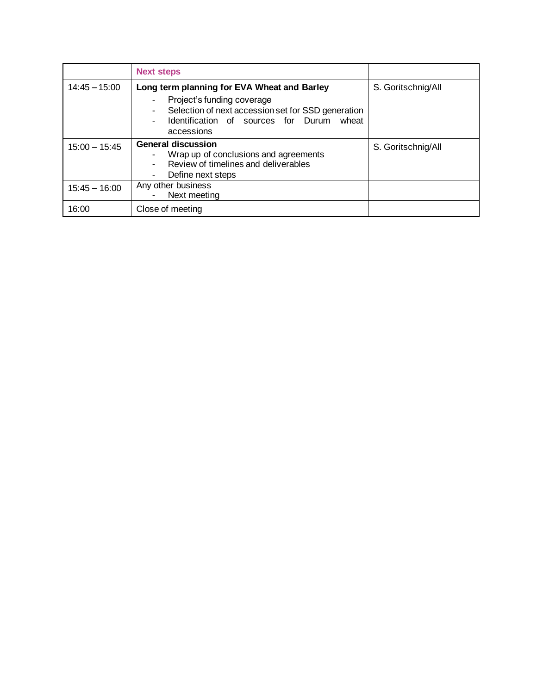|                 | <b>Next steps</b>                                                                                                                                                                             |                    |
|-----------------|-----------------------------------------------------------------------------------------------------------------------------------------------------------------------------------------------|--------------------|
| $14:45 - 15:00$ | Long term planning for EVA Wheat and Barley<br>Project's funding coverage<br>Selection of next accession set for SSD generation<br>Identification of sources for Durum<br>wheat<br>accessions | S. Goritschnig/All |
| $15:00 - 15:45$ | <b>General discussion</b><br>Wrap up of conclusions and agreements<br>Review of timelines and deliverables<br>Define next steps                                                               | S. Goritschnig/All |
| $15:45 - 16:00$ | Any other business<br>Next meeting                                                                                                                                                            |                    |
| 16:00           | Close of meeting                                                                                                                                                                              |                    |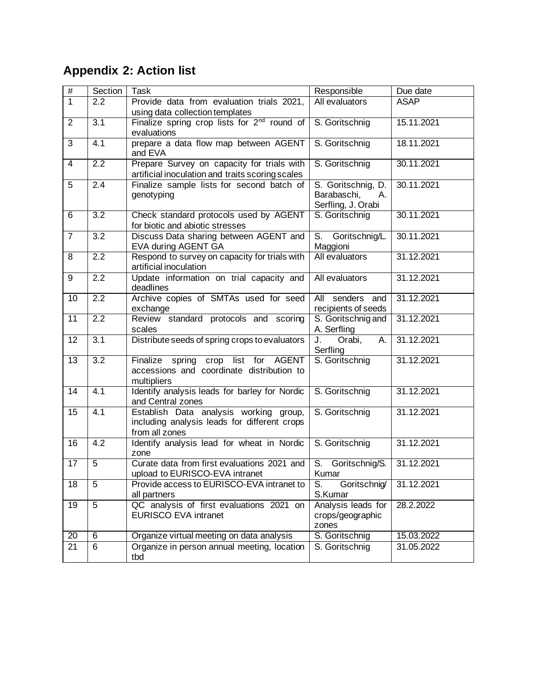# <span id="page-14-0"></span>**Appendix 2: Action list**

| $\#$            | Section          | Task                                                                    | Responsible                | Due date    |
|-----------------|------------------|-------------------------------------------------------------------------|----------------------------|-------------|
| $\overline{1}$  | 2.2              | Provide data from evaluation trials 2021,                               | All evaluators             | <b>ASAP</b> |
|                 |                  | using data collection templates                                         |                            |             |
| $\overline{2}$  | $\overline{3.1}$ | Finalize spring crop lists for 2 <sup>nd</sup> round of                 | S. Goritschnig             | 15.11.2021  |
|                 |                  | evaluations                                                             |                            |             |
| 3               | $\overline{4.1}$ | prepare a data flow map between AGENT                                   | S. Goritschnig             | 18.11.2021  |
|                 |                  | and EVA                                                                 |                            |             |
| $\overline{4}$  | 2.2              | Prepare Survey on capacity for trials with                              | S. Goritschnig             | 30.11.2021  |
|                 |                  | artificial inoculation and traits scoring scales                        |                            |             |
| 5               | 2.4              | Finalize sample lists for second batch of                               | S. Goritschnig, D.         | 30.11.2021  |
|                 |                  | genotyping                                                              | Barabaschi,<br>А.          |             |
|                 |                  |                                                                         | Serfling, J. Orabi         |             |
| 6               | $\overline{3.2}$ | Check standard protocols used by AGENT                                  | S. Goritschnig             | 30.11.2021  |
|                 |                  | for biotic and abiotic stresses                                         |                            |             |
| $\overline{7}$  | $\overline{3.2}$ | Discuss Data sharing between AGENT and                                  | S.<br>Goritschnig/L.       | 30.11.2021  |
| 8               | $\overline{2.2}$ | EVA during AGENT GA                                                     | Maggioni<br>All evaluators | 31.12.2021  |
|                 |                  | Respond to survey on capacity for trials with<br>artificial inoculation |                            |             |
| 9               | $\overline{2.2}$ | Update information on trial capacity and                                | All evaluators             | 31.12.2021  |
|                 |                  | deadlines                                                               |                            |             |
| 10              | $\overline{2.2}$ | Archive copies of SMTAs used for seed                                   | All senders and            | 31.12.2021  |
|                 |                  | exchange                                                                | recipients of seeds        |             |
| 11              | $\overline{2.2}$ | Review standard protocols and scoring                                   | S. Goritschnig and         | 31.12.2021  |
|                 |                  | scales                                                                  | A. Serfling                |             |
| 12              | $\overline{3.1}$ | Distribute seeds of spring crops to evaluators                          | Orabi,<br>J.<br>А.         | 31.12.2021  |
|                 |                  |                                                                         | Serfling                   |             |
| $\overline{13}$ | $\overline{3.2}$ | Finalize spring crop list for AGENT                                     | S. Goritschnig             | 31.12.2021  |
|                 |                  | accessions and coordinate distribution to                               |                            |             |
|                 |                  | multipliers                                                             |                            |             |
| 14              | $\overline{4.1}$ | Identify analysis leads for barley for Nordic                           | S. Goritschnig             | 31.12.2021  |
|                 |                  | and Central zones                                                       |                            |             |
| 15              | 4.1              | Establish Data analysis working group,                                  | S. Goritschnig             | 31.12.2021  |
|                 |                  | including analysis leads for different crops                            |                            |             |
|                 |                  | from all zones                                                          |                            |             |
| 16              | 4.2              | Identify analysis lead for wheat in Nordic                              | S. Goritschnig             | 31.12.2021  |
|                 |                  | zone                                                                    |                            |             |
| 17              | 5                | Curate data from first evaluations 2021 and                             | S. Goritschnig/S.          | 31.12.2021  |
|                 |                  | upload to EURISCO-EVA intranet                                          | Kumar                      |             |
| $\overline{18}$ | $\overline{5}$   | Provide access to EURISCO-EVA intranet to                               | Goritschnig<br>S.          | 31.12.2021  |
|                 |                  | all partners                                                            | S.Kumar                    |             |
| 19              | 5                | QC analysis of first evaluations 2021 on                                | Analysis leads for         | 28.2.2022   |
|                 |                  | <b>EURISCO EVA intranet</b>                                             | crops/geographic           |             |
|                 |                  |                                                                         | zones                      |             |
| 20              | $\overline{6}$   | Organize virtual meeting on data analysis                               | S. Goritschnig             | 15.03.2022  |
| 21              | $\overline{6}$   | Organize in person annual meeting, location                             | S. Goritschnig             | 31.05.2022  |
|                 |                  | tbd                                                                     |                            |             |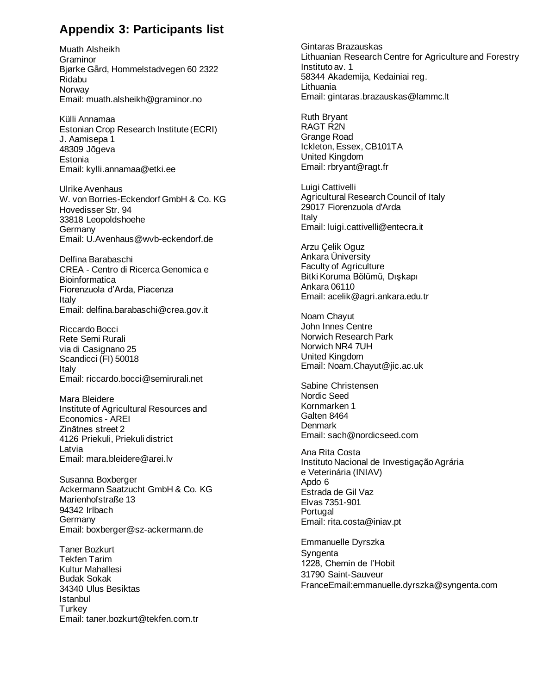### <span id="page-15-0"></span>**Appendix 3: Participants list**

Muath Alsheikh Graminor Bjørke Gård, Hommelstadvegen 60 2322 Ridabu **Norway** Email: [muath.alsheikh@graminor.no](mailto:muath.alsheikh@graminor.no) 

Külli Annamaa Estonian Crop Research Institute (ECRI) J. Aamisepa 1 48309 Jõgeva **Estonia** Email: [kylli.annamaa@etki.ee](mailto:kylli.annamaa@etki.ee) 

Ulrike Avenhaus W. von Borries-Eckendorf GmbH & Co. KG Hovedisser Str. 94 33818 Leopoldshoehe Germany Email: [U.Avenhaus@wvb-eckendorf.de](mailto:U.Avenhaus@wvb-eckendorf.de) 

Delfina Barabaschi CREA - Centro di Ricerca Genomica e **Bioinformatica** Fiorenzuola d'Arda, Piacenza Italy Email: [delfina.barabaschi@crea.gov.it](mailto:delfina.barabaschi@crea.gov.it) 

Riccardo Bocci Rete Semi Rurali via di Casignano 25 Scandicci (FI) 50018 Italy Email: riccardo.bocci@semirurali.net

Mara Bleidere Institute of Agricultural Resources and Economics - AREI Zinātnes street 2 4126 Priekuli, Priekuli district Latvia Email: [mara.bleidere@arei.lv](mailto:mara.bleidere@arei.lv)

Susanna Boxberger Ackermann Saatzucht GmbH & Co. KG Marienhofstraße 13 94342 Irlbach **Germany** Email: [boxberger@sz-ackermann.de](mailto:boxberger@sz-ackermann.de)

Taner Bozkurt Tekfen Tarim Kultur Mahallesi Budak Sokak 34340 Ulus Besiktas Istanbul **Turkey** Email: [taner.bozkurt@tekfen.com.tr](mailto:taner.bozkurt@tekfen.com.tr) Gintaras Brazauskas Lithuanian Research Centre for Agriculture and Forestry Instituto av. 1 58344 Akademija, Kedainiai reg. Lithuania Email: [gintaras.brazauskas@lammc.lt](mailto:gintaras.brazauskas@lammc.lt)  Ruth Bryant RAGT R2N Grange Road Ickleton, Essex, CB101TA United Kingdom Email: [rbryant@ragt.fr](mailto:bryant@ragt.fr)  Luigi Cattivelli Agricultural Research Council of Italy 29017 Fiorenzuola d'Arda Italy Email: [luigi.cattivelli@entecra.it](mailto:luigi.cattivelli@entecra.it)  Arzu Çelik Oguz Ankara Üniversity Faculty of Agriculture Bitki Koruma Bölümü, Dışkapı Ankara 06110 Email: acelik@agri.ankara.edu.tr Noam Chayut John Innes Centre Norwich Research Park Norwich NR4 7UH United Kingdom Email: [Noam.Chayut@jic.ac.uk](mailto:Noam.Chayut@jic.ac.uk)  Sabine Christensen Nordic Seed Kornmarken 1 Galten 8464 Denmark Email: sach@nordicseed.com Ana Rita Costa Instituto Nacional de Investigação Agrária e Veterinária (INIAV) Apdo 6 Estrada de Gil Vaz Elvas 7351-901 **Portugal** Email: [rita.costa@iniav.pt](mailto:rita.costa@iniav.pt) Emmanuelle Dyrszka **Syngenta** 1228, Chemin de l'Hobit 31790 Saint-Sauveur FranceEmail[:emmanuelle.dyrszka@syngenta.com](mailto:emmanuelle.dyrszka@syngenta.com)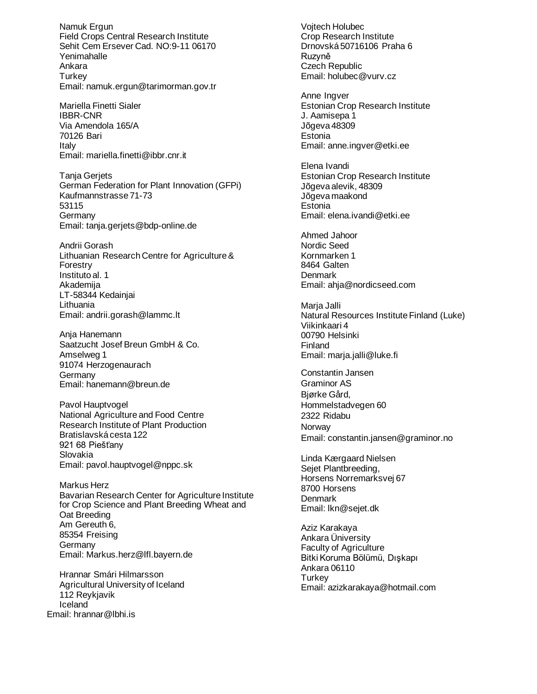Namuk Ergun Field Crops Central Research Institute Sehit Cem Ersever Cad. NO:9-11 06170 Yenimahalle Ankara **Turkey** Email: [namuk.ergun@tarimorman.gov.tr](mailto:namuk.ergun@tarimorman.gov.tr)

Mariella Finetti Sialer IBBR-CNR Via Amendola 165/A 70126 Bari Italy Email: [mariella.finetti@ibbr.cnr.it](mailto:mariella.finetti@ibbr.cnr.it)

Tanja Gerjets German Federation for Plant Innovation (GFPi) Kaufmannstrasse 71-73 53115 Germany Email: [tanja.gerjets@bdp-online.de](mailto:tanja.gerjets@bdp-online.de) 

Andrii Gorash Lithuanian Research Centre for Agriculture & Forestry Instituto al. 1 Akademija LT-58344 Kedainjai Lithuania Email: andrii.gorash@lammc.lt

Anja Hanemann Saatzucht Josef Breun GmbH & Co. Amselweg 1 91074 Herzogenaurach **Germany** Email: [hanemann@breun.de](mailto:hanemann@breun.de) 

Pavol Hauptvogel National Agriculture and Food Centre Research Institute of Plant Production Bratislavská cesta 122 921 68 Piešťany Slovakia Email: [pavol.hauptvogel@nppc.sk](mailto:pavol.hauptvogel@nppc.sk) 

Markus Herz Bavarian Research Center for Agriculture Institute for Crop Science and Plant Breeding Wheat and Oat Breeding Am Gereuth 6, 85354 Freising **Germany** Email: Markus.herz@lfl.bayern.de

Hrannar Smári Hilmarsson Agricultural University of Iceland 112 Reykjavik Iceland Email: hrannar@lbhi.is

Vojtech Holubec Crop Research Institute Drnovská 50716106 Praha 6 Ruzyně Czech Republic Email: [holubec@vurv.cz](mailto:holubec@vurv.cz)  Anne Ingver Estonian Crop Research Institute J. Aamisepa 1 Jõgeva 48309 **Estonia** Email: [anne.ingver@etki.ee](mailto:anne.ingver@etki.ee) Elena Ivandi Estonian Crop Research Institute Jõgeva alevik, 48309 Jõgeva maakond **Estonia** Email: [elena.ivandi@etki.ee](mailto:elena.ivandi@etki.ee) Ahmed Jahoor Nordic Seed Kornmarken 1 8464 Galten **Denmark** Email: [ahja@nordicseed.com](mailto:ahja@nordicseed.com)  Marja Jalli Natural Resources Institute Finland (Luke) Viikinkaari 4 00790 Helsinki Finland Email: [marja.jalli@luke.fi](mailto:marja.jalli@luke.fi) Constantin Jansen Graminor AS Bjørke Gård, Hommelstadvegen 60 2322 Ridabu Norway Email: constantin.jansen@graminor.no Linda Kærgaard Nielsen Sejet Plantbreeding, Horsens Norremarksvej 67 8700 Horsens **Denmark** Email: [lkn@sejet.dk](mailto:lkn@sejet.dk) Aziz Karakaya Ankara Üniversity

Faculty of Agriculture Bitki Koruma Bölümü, Dışkapı Ankara 06110 **Turkey** Email: azizkarakaya@hotmail.com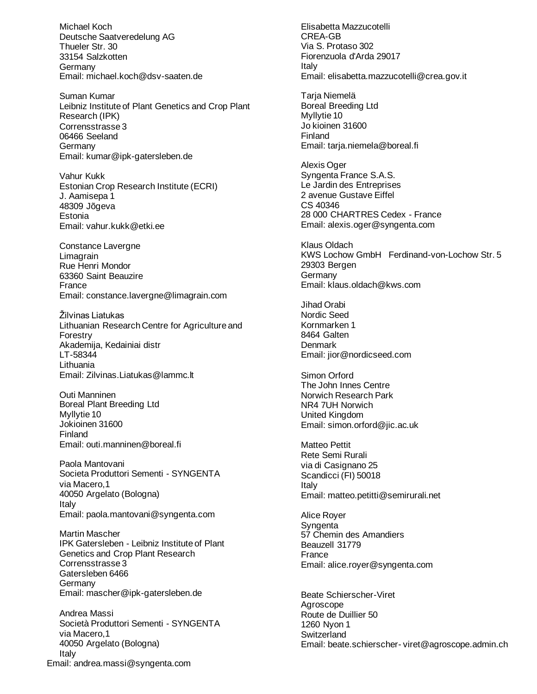Michael Koch Deutsche Saatveredelung AG Thueler Str. 30 33154 Salzkotten **Germany** Email: [michael.koch@dsv-saaten.de](mailto:michael.koch@dsv-saaten.de) 

Suman Kumar Leibniz Institute of Plant Genetics and Crop Plant Research (IPK) Corrensstrasse 3 06466 Seeland **Germany** Email: [kumar@ipk-gatersleben.de](mailto:kumar@ipk-gatersleben.de)

Vahur Kukk Estonian Crop Research Institute (ECRI) J. Aamisepa 1 48309 Jõgeva Estonia Email: vahur.kukk@etki.ee

Constance Lavergne Limagrain Rue Henri Mondor 63360 Saint Beauzire France Email: [constance.lavergne@limagrain.com](mailto:constance.lavergne@limagrain.com)

Žilvinas Liatukas Lithuanian Research Centre for Agriculture and Forestry Akademija, Kedainiai distr LT-58344 Lithuania Email: Zilvinas.Liatukas@lammc.lt

Outi Manninen Boreal Plant Breeding Ltd Myllytie 10 Jokioinen 31600 Finland Email: outi.manninen@boreal.fi

Paola Mantovani Societa Produttori Sementi - SYNGENTA via Macero,1 40050 Argelato (Bologna) Italy Email: [paola.mantovani@syngenta.com](mailto:paola.mantovani@syngenta.com)

Martin Mascher IPK Gatersleben - Leibniz Institute of Plant Genetics and Crop Plant Research Corrensstrasse 3 Gatersleben 6466 **Germany** Email: mascher@ipk-gatersleben.de

Andrea Massi Società Produttori Sementi - SYNGENTA via Macero,1 40050 Argelato (Bologna) Italy Email: [andrea.massi@syngenta.com](mailto:andrea.massi@syngenta.com)

Elisabetta Mazzucotelli CREA-GB Via S. Protaso 302 Fiorenzuola d'Arda 29017 Italy Email: [elisabetta.mazzucotelli@crea.gov.it](mailto:elisabetta.mazzucotelli@crea.gov.it) Tarja Niemelä Boreal Breeding Ltd Myllytie 10 Jo kioinen 31600 Finland Email: tarja.niemela@boreal.fi Alexis Oger Syngenta France S.A.S. Le Jardin des Entreprises 2 avenue Gustave Eiffel CS 40346 28 000 CHARTRES Cedex - France Email: alexis.oger@syngenta.com Klaus Oldach KWS Lochow GmbH Ferdinand-von-Lochow Str. 5 29303 Bergen **Germany** Email: [klaus.oldach@kws.com](mailto:klaus.oldach@kws.com)  Jihad Orabi Nordic Seed Kornmarken 1 8464 Galten Denmark Email: [jior@nordicseed.com](mailto:jior@nordicseed.com)  Simon Orford The John Innes Centre Norwich Research Park NR4 7UH Norwich United Kingdom Email: [simon.orford@jic.ac.uk](mailto:simon.orford@jic.ac.uk) Matteo Pettit Rete Semi Rurali via di Casignano 25 Scandicci (FI) 50018 Italy Email: [matteo.petitti@semirurali.net](mailto:matteo.petitti@semirurali.net) Alice Royer **Syngenta** 57 Chemin des Amandiers Beauzell 31779 France Email: [alice.royer@syngenta.com](mailto:alice.royer@syngenta.com) Beate Schierscher-Viret Agroscope Route de Duillier 50 1260 Nyon 1 **Switzerland** Email: beate.schierscher- [viret@agroscope.admin.ch](mailto:beate.schierscher-%20viret@agroscope.admin.ch)